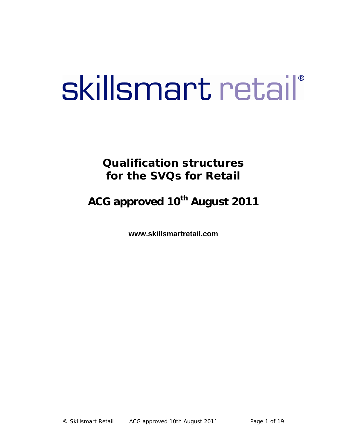# skillsmart retail®

# **Qualification structures for the SVQs for Retail**

# **ACG approved 10th August 2011**

**www.skillsmartretail.com**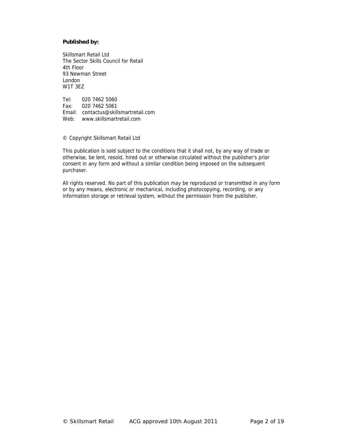#### **Published by:**

Skillsmart Retail Ltd The Sector Skills Council for Retail 4th Floor 93 Newman Street London W1T 3EZ

Tel: 020 7462 5060 Fax: 020 7462 5061 Email: contactus@skillsmartretail.com Web: www.skillsmartretail.com

© Copyright Skillsmart Retail Ltd

This publication is sold subject to the conditions that it shall not, by any way of trade or otherwise, be lent, resold, hired out or otherwise circulated without the publisher's prior consent in any form and without a similar condition being imposed on the subsequent purchaser.

All rights reserved. No part of this publication may be reproduced or transmitted in any form or by any means, electronic or mechanical, including photocopying, recording, or any information storage or retrieval system, without the permission from the publisher.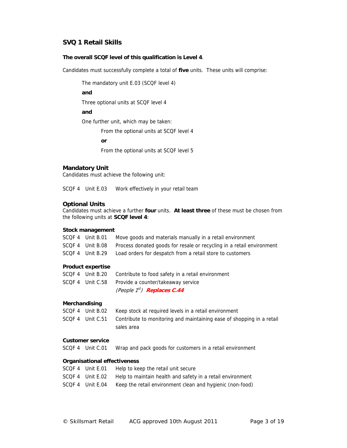#### **The overall SCQF level of this qualification is Level 4**.

Candidates must successfully complete a total of **five** units. These units will comprise:

The mandatory unit E.03 (SCQF level 4)

**and** 

Three optional units at SCQF level 4

**and** 

One further unit, which may be taken:

From the optional units at SCQF level 4

**or** 

From the optional units at SCQF level 5

#### **Mandatory Unit**

Candidates must achieve the following unit:

SCQF 4 Unit E.03 Work effectively in your retail team

#### **Optional Units**

Candidates must achieve a further **four** units. **At least three** of these must be chosen from the following units at **SCQF level 4**:

#### **Stock management**

| SCQF 4        | Unit B.01                    | Move goods and materials manually in a retail environment             |
|---------------|------------------------------|-----------------------------------------------------------------------|
|               | SCQF 4 Unit B.08             | Process donated goods for resale or recycling in a retail environment |
|               | SCQF 4 Unit B.29             | Load orders for despatch from a retail store to customers             |
|               | <b>Product expertise</b>     |                                                                       |
|               | SCQF 4 Unit B.20             | Contribute to food safety in a retail environment                     |
|               | SCQF 4 Unit C.58             | Provide a counter/takeaway service                                    |
|               |                              | (People 1 <sup>st</sup> ) <b>Replaces C.44</b>                        |
| Merchandising |                              |                                                                       |
|               | SCQF 4 Unit B.02             | Keep stock at required levels in a retail environment                 |
|               | SCQF 4 Unit C.51             | Contribute to monitoring and maintaining ease of shopping in a retail |
|               |                              | sales area                                                            |
|               | <b>Customer service</b>      |                                                                       |
|               | SCQF 4 Unit C.01             | Wrap and pack goods for customers in a retail environment             |
|               | Organisational effectiveness |                                                                       |
|               | SCQF 4 Unit E.01             | Help to keep the retail unit secure                                   |
|               | SCQF 4 Unit E.02             | Help to maintain health and safety in a retail environment            |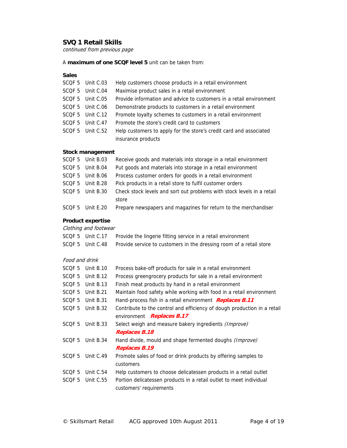continued from previous page

A **maximum of one SCQF level 5** unit can be taken from:

#### **Sales**

| SCQF 5 Unit C.03 | Help customers choose products in a retail environment              |
|------------------|---------------------------------------------------------------------|
| SCQF 5 Unit C.04 | Maximise product sales in a retail environment                      |
| SCQF 5 Unit C.05 | Provide information and advice to customers in a retail environment |
| SCQF 5 Unit C.06 | Demonstrate products to customers in a retail environment           |
| SCQF 5 Unit C.12 | Promote loyalty schemes to customers in a retail environment        |
| SCQF 5 Unit C.47 | Promote the store's credit card to customers                        |
| SCQF 5 Unit C.52 | Help customers to apply for the store's credit card and associated  |
|                  | insurance products                                                  |

#### **Stock management**

| SCOF 5 Unit B.03 | Receive goods and materials into storage in a retail environment       |
|------------------|------------------------------------------------------------------------|
| SCQF 5 Unit B.04 | Put goods and materials into storage in a retail environment           |
| SCQF 5 Unit B.06 | Process customer orders for goods in a retail environment              |
| SCOF 5 Unit B.28 | Pick products in a retail store to fulfil customer orders              |
| SCQF 5 Unit B.30 | Check stock levels and sort out problems with stock levels in a retail |
|                  | store                                                                  |
| SCQF 5 Unit E.20 | Prepare newspapers and magazines for return to the merchandiser        |

#### **Product expertise**

Clothing and footwear

|  | SCQF 5 Unit C.17 Provide the lingerie fitting service in a retail environment        |
|--|--------------------------------------------------------------------------------------|
|  | SCQF 5 Unit C.48 Provide service to customers in the dressing room of a retail store |

#### Food and drink

| SCOF <sub>5</sub> | Unit $B.10$ | Process bake-off products for sale in a retail environment               |
|-------------------|-------------|--------------------------------------------------------------------------|
| SCQF <sub>5</sub> | Unit B.12   | Process greengrocery products for sale in a retail environment           |
| SCQF <sub>5</sub> | Unit $B.13$ | Finish meat products by hand in a retail environment                     |
| SCQF <sub>5</sub> | Unit B.21   | Maintain food safety while working with food in a retail environment     |
| SCQF <sub>5</sub> | Unit B.31   | Hand-process fish in a retail environment Replaces B.11                  |
| SCQF <sub>5</sub> | Unit B.32   | Contribute to the control and efficiency of dough production in a retail |
|                   |             | environment <b>Replaces B.17</b>                                         |
| SCQF <sub>5</sub> | Unit B.33   | Select weigh and measure bakery ingredients (Improve)                    |
|                   |             | <b>Replaces B.18</b>                                                     |
| SCQF <sub>5</sub> | Unit B.34   | Hand divide, mould and shape fermented doughs (Improve)                  |
|                   |             | <b>Replaces B.19</b>                                                     |
| SCQF <sub>5</sub> | Unit C.49   | Promote sales of food or drink products by offering samples to           |
|                   |             | customers                                                                |
| SCQF <sub>5</sub> | Unit C.54   | Help customers to choose delicatessen products in a retail outlet        |
| SCQF <sub>5</sub> | Unit C.55   | Portion delicatessen products in a retail outlet to meet individual      |
|                   |             | customers' requirements                                                  |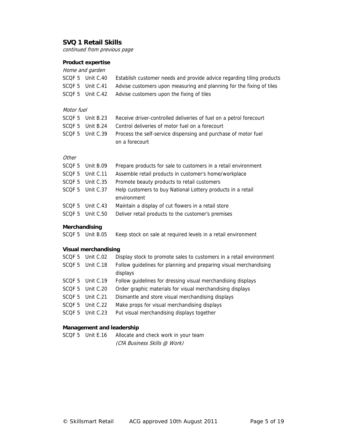continued from previous page

# **Product expertise**

|                   | Home and garden |                                                                            |  |
|-------------------|-----------------|----------------------------------------------------------------------------|--|
| SCQF <sub>5</sub> | Unit C.40       | Establish customer needs and provide advice regarding tiling products      |  |
| SCOF 5            | Unit C.41       | Advise customers upon measuring and planning for the fixing of tiles       |  |
| SCQF <sub>5</sub> | Unit C.42       | Advise customers upon the fixing of tiles                                  |  |
|                   |                 |                                                                            |  |
| Motor fuel        |                 |                                                                            |  |
| SCOF <sub>5</sub> | Unit $B.23$     | Receive driver-controlled deliveries of fuel on a petrol forecourt         |  |
| SCQF <sub>5</sub> | Unit B.24       | Control deliveries of motor fuel on a forecourt                            |  |
| SCQF <sub>5</sub> | Unit C.39       | Process the self-service dispensing and purchase of motor fuel             |  |
|                   |                 | on a forecourt                                                             |  |
|                   |                 |                                                                            |  |
| Other             |                 |                                                                            |  |
| SCOF <sub>5</sub> | Unit B.09       | Prepare products for sale to customers in a retail environment             |  |
| SCOF <sub>5</sub> | Unit C.11       | Assemble retail products in customer's home/workplace                      |  |
| SCQF <sub>5</sub> | Unit C.35       | Promote beauty products to retail customers                                |  |
| SCQF <sub>5</sub> | Unit C.37       | Help customers to buy National Lottery products in a retail<br>environment |  |
| SCQF <sub>5</sub> | Unit $C.43$     | Maintain a display of cut flowers in a retail store                        |  |
| SCQF <sub>5</sub> | Unit $C.50$     | Deliver retail products to the customer's premises                         |  |
| Merchandising     |                 |                                                                            |  |
| SCOF <sub>5</sub> | Unit B.05       | Keep stock on sale at required levels in a retail environment              |  |

# **Visual merchandising**

|                   | SCQF 5 Unit C.02 | Display stock to promote sales to customers in a retail environment |
|-------------------|------------------|---------------------------------------------------------------------|
| SCQF <sub>5</sub> | Unit C.18        | Follow guidelines for planning and preparing visual merchandising   |
|                   |                  | displays                                                            |
|                   | SCQF 5 Unit C.19 | Follow guidelines for dressing visual merchandising displays        |
|                   | SCQF 5 Unit C.20 | Order graphic materials for visual merchandising displays           |
|                   | SCOF 5 Unit C.21 | Dismantle and store visual merchandising displays                   |
| SCQF 5            | Unit C.22        | Make props for visual merchandising displays                        |
|                   | SCOF 5 Unit C.23 | Put visual merchandising displays together                          |
|                   |                  |                                                                     |

#### **Management and leadership**

```
SCQF 5 Unit E.16 Allocate and check work in your team 
        (CfA Business Skills @ Work)
```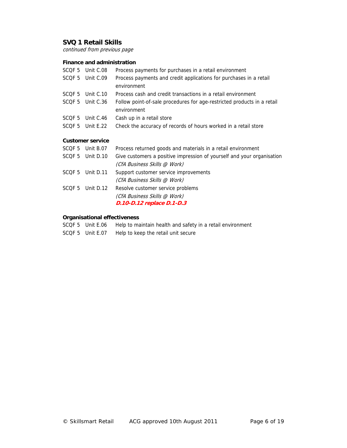continued from previous page

# **Finance and administration**

| SCQF <sub>5</sub> | Unit C.08               | Process payments for purchases in a retail environment                                 |
|-------------------|-------------------------|----------------------------------------------------------------------------------------|
| SCQF <sub>5</sub> | Unit C.09               | Process payments and credit applications for purchases in a retail<br>environment      |
| SCQF <sub>5</sub> | Unit $C.10$             | Process cash and credit transactions in a retail environment                           |
| SCQF <sub>5</sub> | Unit C.36               | Follow point-of-sale procedures for age-restricted products in a retail<br>environment |
| SCQF 5            | Unit C.46               | Cash up in a retail store                                                              |
| SCQF 5            | Unit E.22               | Check the accuracy of records of hours worked in a retail store                        |
|                   | <b>Customer service</b> |                                                                                        |
|                   | SCQF 5 Unit B.07        | Process returned goods and materials in a retail environment                           |
| SCQF <sub>5</sub> | Unit D.10               | Give customers a positive impression of yourself and your organisation                 |
|                   |                         | (CfA Business Skills @ Work)                                                           |
| SCQF <sub>5</sub> | Unit D.11               | Support customer service improvements                                                  |
|                   |                         | (CfA Business Skills @ Work)                                                           |
| SCQF <sub>5</sub> | Unit D.12               | Resolve customer service problems                                                      |
|                   |                         | (CfA Business Skills @ Work)                                                           |
|                   |                         | <i>D.10-D.12 replace D.1-D.3</i>                                                       |

# **Organisational effectiveness**

|  |  | SCQF 5 Unit E.06 Help to maintain health and safety in a retail environment |
|--|--|-----------------------------------------------------------------------------|
|--|--|-----------------------------------------------------------------------------|

SCQF 5 Unit E.07 Help to keep the retail unit secure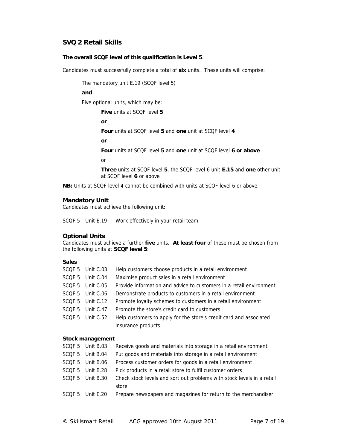#### **The overall SCQF level of this qualification is Level 5**.

Candidates must successfully complete a total of **six** units. These units will comprise:

The mandatory unit E.19 (SCQF level 5)

#### **and**

Five optional units, which may be:

**Five** units at SCQF level **5**

**or** 

**Four** units at SCQF level **5** and **one** unit at SCQF level **4**

**or** 

**Four** units at SCQF level **5** and **one** unit at SCQF level **6 or above**

or

**Three** units at SCQF level **5**, the SCQF level 6 unit **E.15** and **one** other unit at SCQF level **6** or above

**NB:** Units at SCQF level 4 cannot be combined with units at SCQF level 6 or above.

#### **Mandatory Unit**

Candidates must achieve the following unit:

SCQF 5 Unit E.19 Work effectively in your retail team

#### **Optional Units**

Candidates must achieve a further **five** units. **At least four** of these must be chosen from the following units at **SCQF level 5**:

#### **Sales**

| SCQF 5 Unit C.03 | Help customers choose products in a retail environment              |
|------------------|---------------------------------------------------------------------|
| SCQF 5 Unit C.04 | Maximise product sales in a retail environment                      |
| SCQF 5 Unit C.05 | Provide information and advice to customers in a retail environment |
| SCQF 5 Unit C.06 | Demonstrate products to customers in a retail environment           |
| SCQF 5 Unit C.12 | Promote loyalty schemes to customers in a retail environment        |
| SCQF 5 Unit C.47 | Promote the store's credit card to customers                        |
| SCQF 5 Unit C.52 | Help customers to apply for the store's credit card and associated  |
|                  | insurance products                                                  |

#### **Stock management**

| SCOF 5 Unit B.03 | Receive goods and materials into storage in a retail environment       |
|------------------|------------------------------------------------------------------------|
| SCQF 5 Unit B.04 | Put goods and materials into storage in a retail environment           |
| SCQF 5 Unit B.06 | Process customer orders for goods in a retail environment              |
| SCQF 5 Unit B.28 | Pick products in a retail store to fulfil customer orders              |
| SCOF 5 Unit B.30 | Check stock levels and sort out problems with stock levels in a retail |
|                  | store                                                                  |
| SCOF 5 Unit E.20 | Prepare newspapers and magazines for return to the merchandiser        |
|                  |                                                                        |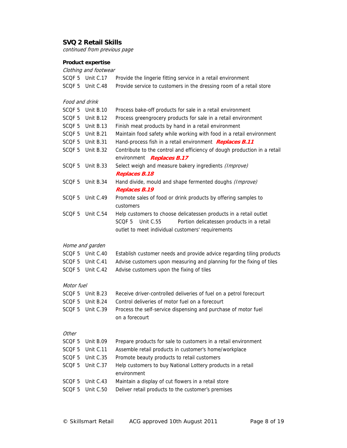continued from previous page

# **Product expertise**

| Clothing and footwear |                  |                                                                                                       |  |
|-----------------------|------------------|-------------------------------------------------------------------------------------------------------|--|
|                       | SCQF 5 Unit C.17 | Provide the lingerie fitting service in a retail environment                                          |  |
| SCQF <sub>5</sub>     | Unit C.48        | Provide service to customers in the dressing room of a retail store                                   |  |
| Food and drink        |                  |                                                                                                       |  |
| SCQF <sub>5</sub>     | Unit B.10        | Process bake-off products for sale in a retail environment                                            |  |
| SCQF 5                | Unit B.12        | Process greengrocery products for sale in a retail environment                                        |  |
| SCQF 5                | Unit B.13        | Finish meat products by hand in a retail environment                                                  |  |
| SCQF 5                | Unit B.21        | Maintain food safety while working with food in a retail environment                                  |  |
| SCQF <sub>5</sub>     | Unit B.31        | Hand-process fish in a retail environment Replaces B.11                                               |  |
| SCQF 5                | Unit B.32        | Contribute to the control and efficiency of dough production in a retail<br>environment Replaces B.17 |  |
| SCQF <sub>5</sub>     | Unit B.33        | Select weigh and measure bakery ingredients (Improve)                                                 |  |
|                       |                  | <b>Replaces B.18</b>                                                                                  |  |
| SCQF <sub>5</sub>     | Unit B.34        | Hand divide, mould and shape fermented doughs (Improve)<br>Replaces B.19                              |  |
| SCQF <sub>5</sub>     | Unit C.49        | Promote sales of food or drink products by offering samples to<br>customers                           |  |
| SCQF <sub>5</sub>     | Unit C.54        | Help customers to choose delicatessen products in a retail outlet                                     |  |
|                       |                  | SCQF <sub>5</sub><br>Unit C.55<br>Portion delicatessen products in a retail                           |  |
|                       |                  | outlet to meet individual customers' requirements                                                     |  |
|                       | Home and garden  |                                                                                                       |  |
|                       | SCQF 5 Unit C.40 | Establish customer needs and provide advice regarding tiling products                                 |  |
|                       | SCQF 5 Unit C.41 | Advise customers upon measuring and planning for the fixing of tiles                                  |  |
| SCQF 5                | Unit C.42        | Advise customers upon the fixing of tiles                                                             |  |
| Motor fuel            |                  |                                                                                                       |  |
| SCQF <sub>5</sub>     | Unit B.23        | Receive driver-controlled deliveries of fuel on a petrol forecourt                                    |  |
|                       | SCQF 5 Unit B.24 | Control deliveries of motor fuel on a forecourt                                                       |  |
| SCQF <sub>5</sub>     | Unit C.39        | Process the self-service dispensing and purchase of motor fuel                                        |  |
|                       |                  | on a forecourt                                                                                        |  |
| Other                 |                  |                                                                                                       |  |
| SCQF <sub>5</sub>     | Unit B.09        | Prepare products for sale to customers in a retail environment                                        |  |
| SCQF <sub>5</sub>     | Unit C.11        | Assemble retail products in customer's home/workplace                                                 |  |
| SCQF <sub>5</sub>     | Unit C.35        | Promote beauty products to retail customers                                                           |  |
| SCQF <sub>5</sub>     | Unit C.37        | Help customers to buy National Lottery products in a retail<br>environment                            |  |
| SCQF <sub>5</sub>     | Unit C.43        | Maintain a display of cut flowers in a retail store                                                   |  |
| SCQF <sub>5</sub>     | Unit C.50        | Deliver retail products to the customer's premises                                                    |  |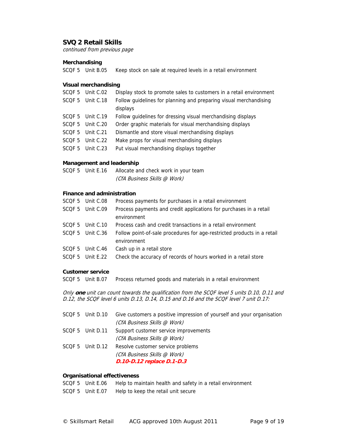continued from previous page

#### **Merchandising**

SCQF 5 Unit B.05 Keep stock on sale at required levels in a retail environment

#### **Visual merchandising**

|        | SCQF 5 Unit C.02 | Display stock to promote sales to customers in a retail environment |
|--------|------------------|---------------------------------------------------------------------|
| SCOF 5 | Unit C.18        | Follow guidelines for planning and preparing visual merchandising   |
|        |                  | displays                                                            |
|        | SCQF 5 Unit C.19 | Follow guidelines for dressing visual merchandising displays        |
|        | SCOF 5 Unit C.20 | Order graphic materials for visual merchandising displays           |
|        | SCOF 5 Unit C.21 | Dismantle and store visual merchandising displays                   |
| SCOF 5 | Unit C.22        | Make props for visual merchandising displays                        |
| SCOF 5 | Unit C.23        | Put visual merchandising displays together                          |

#### **Management and leadership**

| SCQF 5 Unit E.16 | Allocate and check work in your team |
|------------------|--------------------------------------|
|                  | (CfA Business Skills @ Work)         |

#### **Finance and administration**

| SCOF 5 Unit C.08 | Process payments for purchases in a retail environment                  |
|------------------|-------------------------------------------------------------------------|
| SCQF 5 Unit C.09 | Process payments and credit applications for purchases in a retail      |
|                  | environment                                                             |
| SCOF 5 Unit C.10 | Process cash and credit transactions in a retail environment            |
| SCQF 5 Unit C.36 | Follow point-of-sale procedures for age-restricted products in a retail |
|                  | environment                                                             |
| SCOF 5 Unit C.46 | Cash up in a retail store                                               |
| SCOF 5 Unit E.22 | Check the accuracy of records of hours worked in a retail store         |

#### **Customer service**

SCQF 5 Unit B.07 Process returned goods and materials in a retail environment

Only **one** unit can count towards the qualification from the SCQF level 5 units D.10, D.11 and D.12, the SCQF level 6 units D.13, D.14, D.15 and D.16 and the SCQF level 7 unit D.17:

|                  | SCQF 5 Unit D.10 Give customers a positive impression of yourself and your organisation |
|------------------|-----------------------------------------------------------------------------------------|
|                  | (CfA Business Skills @ Work)                                                            |
| SCQF 5 Unit D.11 | Support customer service improvements                                                   |
|                  | (CfA Business Skills @ Work)                                                            |
| SCQF 5 Unit D.12 | Resolve customer service problems                                                       |
|                  | (CfA Business Skills @ Work)                                                            |
|                  | D.10-D.12 replace D.1-D.3                                                               |

#### **Organisational effectiveness**

- SCQF 5 Unit E.06 Help to maintain health and safety in a retail environment
- SCQF 5 Unit E.07 Help to keep the retail unit secure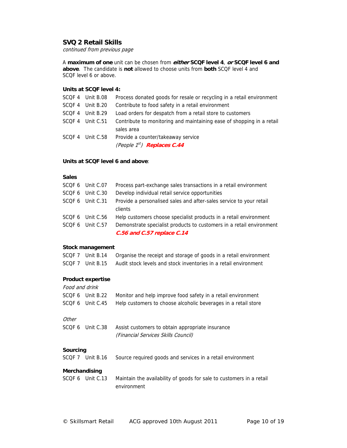continued from previous page

A **maximum of one** unit can be chosen from **either SCQF level 4**, **or SCQF level 6 and above**. The candidate is **not** allowed to choose units from **both** SCQF level 4 and SCQF level 6 or above.

#### **Units at SCQF level 4:**

| Process donated goods for resale or recycling in a retail environment<br>SCQF 4 Unit B.08 |  |
|-------------------------------------------------------------------------------------------|--|
| Contribute to food safety in a retail environment<br>SCQF 4 Unit B.20                     |  |
| Load orders for despatch from a retail store to customers<br>SCOF 4 Unit B.29             |  |
| Contribute to monitoring and maintaining ease of shopping in a retail<br>SCQF 4 Unit C.51 |  |
| sales area                                                                                |  |
| Provide a counter/takeaway service<br>SCQF 4 Unit C.58                                    |  |
| (People 1 <sup>st</sup> ) Replaces C.44                                                   |  |

#### **Units at SCQF level 6 and above**:

#### **Sales**

| SCQF 6 Unit C.07 | Process part-exchange sales transactions in a retail environment     |
|------------------|----------------------------------------------------------------------|
| SCQF 6 Unit C.30 | Develop individual retail service opportunities                      |
| SCQF 6 Unit C.31 | Provide a personalised sales and after-sales service to your retail  |
|                  | clients                                                              |
| SCQF 6 Unit C.56 | Help customers choose specialist products in a retail environment    |
| SCQF 6 Unit C.57 | Demonstrate specialist products to customers in a retail environment |
|                  | C.56 and C.57 replace C.14                                           |

#### **Stock management**

| SCQF 7 Unit B.14 | Organise the receipt and storage of goods in a retail environment |
|------------------|-------------------------------------------------------------------|
| SCOF 7 Unit B.15 | Audit stock levels and stock inventories in a retail environment  |

#### **Product expertise**

|          | Food and drink |                                                                                         |  |  |
|----------|----------------|-----------------------------------------------------------------------------------------|--|--|
| SCOF 6   | Unit B.22      | Monitor and help improve food safety in a retail environment                            |  |  |
| SCOF 6   | Unit C.45      | Help customers to choose alcoholic beverages in a retail store                          |  |  |
| Other    |                |                                                                                         |  |  |
| SCOF 6   | Unit C.38      | Assist customers to obtain appropriate insurance<br>(Financial Services Skills Council) |  |  |
| Sourcing |                |                                                                                         |  |  |
| SCOF 7   | Unit B.16      | Source required goods and services in a retail environment                              |  |  |

#### **Merchandising**

| SCOF 6 Unit C.13 | Maintain the availability of goods for sale to customers in a retail |
|------------------|----------------------------------------------------------------------|
|                  | environment                                                          |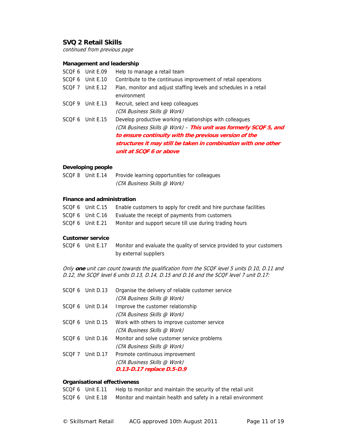continued from previous page

#### **Management and leadership**

|        | SCOF 6 Unit E.09 | Help to manage a retail team                                                                                                                                                                                                                                                        |
|--------|------------------|-------------------------------------------------------------------------------------------------------------------------------------------------------------------------------------------------------------------------------------------------------------------------------------|
|        | SCQF 6 Unit E.10 | Contribute to the continuous improvement of retail operations                                                                                                                                                                                                                       |
|        | SCOF 7 Unit E.12 | Plan, monitor and adjust staffing levels and schedules in a retail<br>environment                                                                                                                                                                                                   |
| SCOF 9 | Unit E.13        | Recruit, select and keep colleagues<br>(CfA Business Skills @ Work)                                                                                                                                                                                                                 |
|        | SCOF 6 Unit E.15 | Develop productive working relationships with colleagues<br>(CfA Business Skills @ Work) - This unit was formerly SCQF 5, and<br>to ensure continuity with the previous version of the<br>structures it may still be taken in combination with one other<br>unit at SCOF 6 or above |

#### **Developing people**

| SCOF 8 Unit E.14 | Provide learning opportunities for colleagues |
|------------------|-----------------------------------------------|
|                  | (CfA Business Skills @ Work)                  |

#### **Finance and administration**

| SCQF 6 Unit C.15 | Enable customers to apply for credit and hire purchase facilities |
|------------------|-------------------------------------------------------------------|
| SCQF 6 Unit C.16 | Evaluate the receipt of payments from customers                   |
| SCQF 6 Unit E.21 | Monitor and support secure till use during trading hours          |

#### **Customer service**

SCQF 6 Unit E.17 Monitor and evaluate the quality of service provided to your customers by external suppliers

Only **one** unit can count towards the qualification from the SCQF level 5 units D.10, D.11 and D.12, the SCQF level 6 units D.13, D.14, D.15 and D.16 and the SCQF level 7 unit D.17:

|        | SCOF 6 Unit D.13 | Organise the delivery of reliable customer service |
|--------|------------------|----------------------------------------------------|
|        |                  | (CfA Business Skills @ Work)                       |
|        | SCOF 6 Unit D.14 | Improve the customer relationship                  |
|        |                  | (CfA Business Skills @ Work)                       |
|        | SCOF 6 Unit D.15 | Work with others to improve customer service       |
|        |                  | (CfA Business Skills @ Work)                       |
|        | SCOF 6 Unit D.16 | Monitor and solve customer service problems        |
|        |                  | (CfA Business Skills @ Work)                       |
| SCOF 7 | Unit D.17        | Promote continuous improvement                     |
|        |                  | (CfA Business Skills @ Work)                       |
|        |                  | D.13-D.17 replace D.5-D.9                          |

#### **Organisational effectiveness**

| SCQF 6 Unit E.11 | Help to monitor and maintain the security of the retail unit   |
|------------------|----------------------------------------------------------------|
| SCOF 6 Unit E.18 | Monitor and maintain health and safety in a retail environment |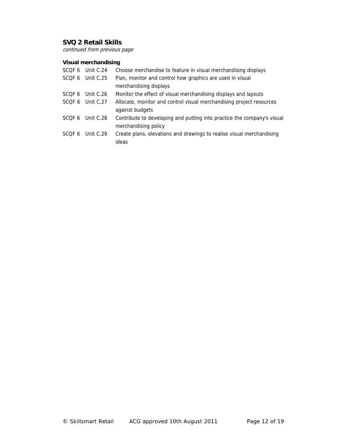continued from previous page

# **Visual merchandising**

|        | SCQF 6 Unit C.24 | Choose merchandise to feature in visual merchandising displays          |
|--------|------------------|-------------------------------------------------------------------------|
|        | SCQF 6 Unit C.25 | Plan, monitor and control how graphics are used in visual               |
|        |                  | merchandising displays                                                  |
| SCOF 6 | Unit C.26        | Monitor the effect of visual merchandising displays and layouts         |
|        | SCOF 6 Unit C.27 | Allocate, monitor and control visual merchandising project resources    |
|        |                  | against budgets                                                         |
| SCOF 6 | Unit C.28        | Contribute to developing and putting into practice the company's visual |
|        |                  | merchandising policy                                                    |
| SCOF 6 | Unit C.29        | Create plans, elevations and drawings to realise visual merchandising   |
|        |                  | ideas                                                                   |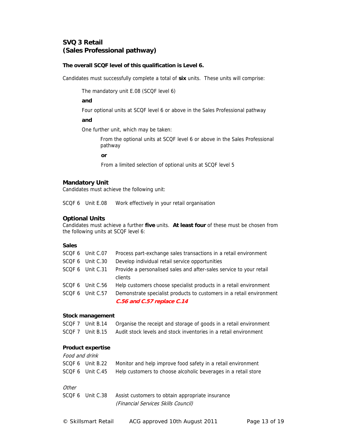# **SVQ 3 Retail (Sales Professional pathway)**

#### **The overall SCQF level of this qualification is Level 6.**

Candidates must successfully complete a total of **six** units. These units will comprise:

The mandatory unit E.08 (SCQF level 6)

#### **and**

Four optional units at SCQF level 6 or above in the Sales Professional pathway

**and** 

One further unit, which may be taken:

From the optional units at SCQF level 6 or above in the Sales Professional pathway

**or** 

From a limited selection of optional units at SCQF level 5

#### **Mandatory Unit**

Candidates must achieve the following unit:

SCQF 6 Unit E.08 Work effectively in your retail organisation

#### **Optional Units**

Candidates must achieve a further **five** units. **At least four** of these must be chosen from the following units at SCQF level 6:

#### **Sales**

| SCQF 6 Unit C.07 | Process part-exchange sales transactions in a retail environment     |
|------------------|----------------------------------------------------------------------|
| SCQF 6 Unit C.30 | Develop individual retail service opportunities                      |
| SCQF 6 Unit C.31 | Provide a personalised sales and after-sales service to your retail  |
|                  | clients                                                              |
| SCQF 6 Unit C.56 | Help customers choose specialist products in a retail environment    |
| SCQF 6 Unit C.57 | Demonstrate specialist products to customers in a retail environment |
|                  | C.56 and C.57 replace C.14                                           |

#### **Stock management**

| SCQF 7 Unit B.14 | Organise the receipt and storage of goods in a retail environment |
|------------------|-------------------------------------------------------------------|
| SCOF 7 Unit B.15 | Audit stock levels and stock inventories in a retail environment  |

#### **Product expertise**

| Food and drink |                  |                                                                |
|----------------|------------------|----------------------------------------------------------------|
|                | SCQF 6 Unit B.22 | Monitor and help improve food safety in a retail environment   |
|                | SCQF 6 Unit C.45 | Help customers to choose alcoholic beverages in a retail store |

#### **Other**

| SCQF 6 Unit C.38 | Assist customers to obtain appropriate insurance |
|------------------|--------------------------------------------------|
|                  | (Financial Services Skills Council)              |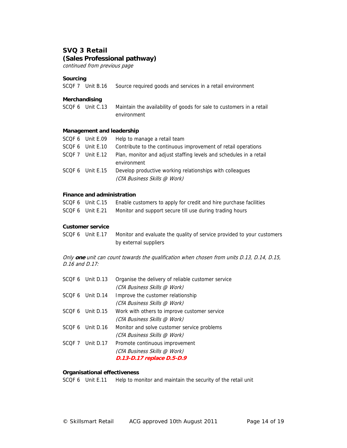# **SVQ 3 Retail (Sales Professional pathway)**

continued from previous page

#### **Sourcing**

|  | SCQF 7 Unit B.16 Source required goods and services in a retail environment |
|--|-----------------------------------------------------------------------------|

#### **Merchandising**

SCQF 6 Unit C.13 Maintain the availability of goods for sale to customers in a retail environment

#### **Management and leadership**

| Help to manage a retail team                                                 |
|------------------------------------------------------------------------------|
| Contribute to the continuous improvement of retail operations                |
| Plan, monitor and adjust staffing levels and schedules in a retail           |
| environment                                                                  |
| Develop productive working relationships with colleagues                     |
| (CfA Business Skills @ Work)                                                 |
| SCQF 6 Unit E.09<br>SCOF 6 Unit E.10<br>SCOF 7 Unit E.12<br>SCOF 6 Unit E.15 |

#### **Finance and administration**

|  | SCQF 6 Unit C.15 Enable customers to apply for credit and hire purchase facilities |
|--|------------------------------------------------------------------------------------|
|  |                                                                                    |

SCQF 6 Unit E.21 Monitor and support secure till use during trading hours

#### **Customer service**

SCQF 6 Unit E.17 Monitor and evaluate the quality of service provided to your customers by external suppliers

Only **one** unit can count towards the qualification when chosen from units D.13, D.14, D.15, D.16 and D.17:

| SCOF 6 Unit D.13 | Organise the delivery of reliable customer service |
|------------------|----------------------------------------------------|
|                  | (CfA Business Skills @ Work)                       |
| SCOF 6 Unit D.14 | Improve the customer relationship                  |
|                  | (CfA Business Skills @ Work)                       |
| SCOF 6 Unit D.15 | Work with others to improve customer service       |
|                  | (CfA Business Skills @ Work)                       |
| SCOF 6 Unit D.16 | Monitor and solve customer service problems        |
|                  | (CfA Business Skills @ Work)                       |
| SCOF 7 Unit D.17 | Promote continuous improvement                     |
|                  | (CfA Business Skills @ Work)                       |
|                  | D.13-D.17 replace D.5-D.9                          |

#### **Organisational effectiveness**

SCQF 6 Unit E.11 Help to monitor and maintain the security of the retail unit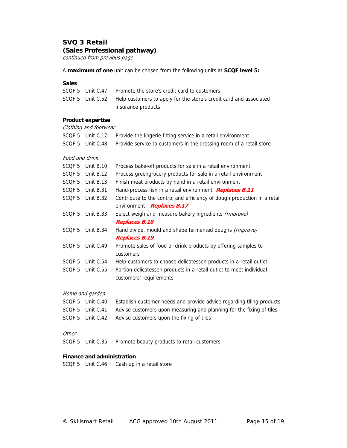# **SVQ 3 Retail (Sales Professional pathway)**

continued from previous page

A **maximum of one** unit can be chosen from the following units at **SCQF level 5:** 

#### **Sales**

|  | SCQF 5 Unit C.47 Promote the store's credit card to customers                       |
|--|-------------------------------------------------------------------------------------|
|  | SCQF 5 Unit C.52 Help customers to apply for the store's credit card and associated |
|  | insurance products                                                                  |

#### **Product expertise**

|                   | Clothing and footwear |                                                                          |
|-------------------|-----------------------|--------------------------------------------------------------------------|
|                   | SCQF 5 Unit C.17      | Provide the lingerie fitting service in a retail environment             |
|                   | SCQF 5 Unit C.48      | Provide service to customers in the dressing room of a retail store      |
| Food and drink    |                       |                                                                          |
| SCQF 5            | Unit B.10             | Process bake-off products for sale in a retail environment               |
| SCQF 5            | Unit B.12             | Process greengrocery products for sale in a retail environment           |
|                   | SCQF 5 Unit B.13      | Finish meat products by hand in a retail environment                     |
|                   | SCQF 5 Unit B.31      | Hand-process fish in a retail environment <b>Replaces B.11</b>           |
| SCQF <sub>5</sub> | Unit B.32             | Contribute to the control and efficiency of dough production in a retail |
|                   |                       | environment Replaces B.17                                                |
| SCQF 5            | Unit B.33             | Select weigh and measure bakery ingredients (Improve)                    |
|                   |                       | Replaces B.18                                                            |
| SCQF 5            | Unit B.34             | Hand divide, mould and shape fermented doughs (Improve)                  |
|                   |                       | <b>Replaces B.19</b>                                                     |
| SCQF 5            | Unit C.49             | Promote sales of food or drink products by offering samples to           |
|                   |                       | customers                                                                |
| SCQF 5            | Unit C.54             | Help customers to choose delicatessen products in a retail outlet        |
| SCQF <sub>5</sub> | Unit C.55             | Portion delicatessen products in a retail outlet to meet individual      |
|                   |                       | customers' requirements                                                  |
|                   |                       |                                                                          |

#### Home and garden

| SCOF 5 Unit C.40 | Establish customer needs and provide advice regarding tiling products |
|------------------|-----------------------------------------------------------------------|
| SCQF 5 Unit C.41 | Advise customers upon measuring and planning for the fixing of tiles  |
| SCQF 5 Unit C.42 | Advise customers upon the fixing of tiles                             |

#### **Other**

SCQF 5 Unit C.35 Promote beauty products to retail customers

#### **Finance and administration**

SCQF 5 Unit C.46 Cash up in a retail store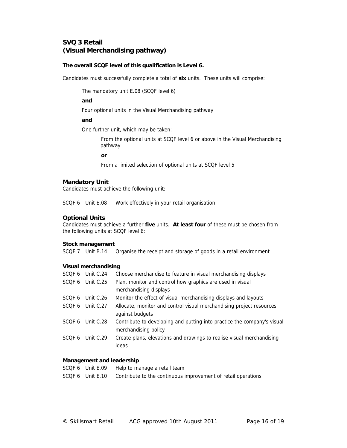# **SVQ 3 Retail (Visual Merchandising pathway)**

#### **The overall SCQF level of this qualification is Level 6.**

Candidates must successfully complete a total of **six** units. These units will comprise:

The mandatory unit E.08 (SCQF level 6)

#### **and**

Four optional units in the Visual Merchandising pathway

**and** 

One further unit, which may be taken:

From the optional units at SCQF level 6 or above in the Visual Merchandising pathway

**or** 

From a limited selection of optional units at SCQF level 5

#### **Mandatory Unit**

Candidates must achieve the following unit:

SCQF 6 Unit E.08 Work effectively in your retail organisation

#### **Optional Units**

Candidates must achieve a further **five** units. **At least four** of these must be chosen from the following units at SCQF level 6:

#### **Stock management**

SCQF 7 Unit B.14 Organise the receipt and storage of goods in a retail environment

#### **Visual merchandising**

| SCQF 6            | Unit C.24 | Choose merchandise to feature in visual merchandising displays                                  |
|-------------------|-----------|-------------------------------------------------------------------------------------------------|
| SCQF 6            | Unit C.25 | Plan, monitor and control how graphics are used in visual                                       |
|                   |           | merchandising displays                                                                          |
| SCOF 6            | Unit C.26 | Monitor the effect of visual merchandising displays and layouts                                 |
| SCOF <sub>6</sub> | Unit C.27 | Allocate, monitor and control visual merchandising project resources                            |
|                   |           | against budgets                                                                                 |
| SCOF 6            | Unit C.28 | Contribute to developing and putting into practice the company's visual<br>merchandising policy |
| SCOF <sub>6</sub> | Unit C.29 | Create plans, elevations and drawings to realise visual merchandising<br>ideas                  |

#### **Management and leadership**

| SCQF 6 Unit E.09 | Help to manage a retail team                                  |
|------------------|---------------------------------------------------------------|
| SCQF 6 Unit E.10 | Contribute to the continuous improvement of retail operations |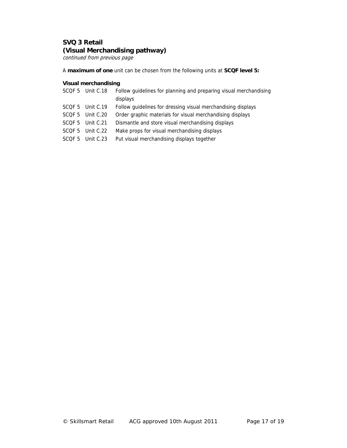# **SVQ 3 Retail (Visual Merchandising pathway)**

continued from previous page

A **maximum of one** unit can be chosen from the following units at **SCQF level 5:** 

#### **Visual merchandising**

|        | SCQF 5 Unit C.18 | Follow guidelines for planning and preparing visual merchandising |
|--------|------------------|-------------------------------------------------------------------|
|        |                  | displays                                                          |
|        | SCQF 5 Unit C.19 | Follow guidelines for dressing visual merchandising displays      |
|        | SCQF 5 Unit C.20 | Order graphic materials for visual merchandising displays         |
|        | SCOF 5 Unit C.21 | Dismantle and store visual merchandising displays                 |
| SCOF 5 | Unit C.22        | Make props for visual merchandising displays                      |
| SCQF 5 | Unit C.23        | Put visual merchandising displays together                        |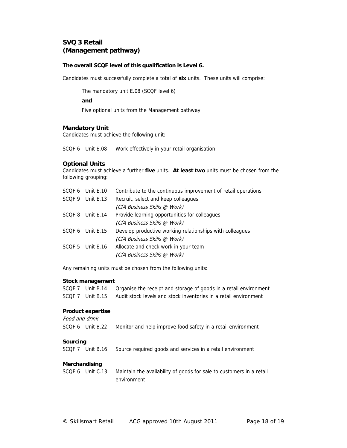# **SVQ 3 Retail (Management pathway)**

#### **The overall SCQF level of this qualification is Level 6.**

Candidates must successfully complete a total of **six** units. These units will comprise:

The mandatory unit E.08 (SCQF level 6)

**and** 

Five optional units from the Management pathway

# **Mandatory Unit**

Candidates must achieve the following unit:

SCQF 6 Unit E.08 Work effectively in your retail organisation

#### **Optional Units**

Candidates must achieve a further **five** units. **At least two** units must be chosen from the following grouping:

|        | SCOF 6 Unit E.10 | Contribute to the continuous improvement of retail operations |
|--------|------------------|---------------------------------------------------------------|
| SCOF 9 | Unit $E.13$      | Recruit, select and keep colleagues                           |
|        |                  | (CfA Business Skills @ Work)                                  |
|        | SCOF 8 Unit E.14 | Provide learning opportunities for colleagues                 |
|        |                  | (CfA Business Skills @ Work)                                  |
|        | SCOF 6 Unit E.15 | Develop productive working relationships with colleagues      |
|        |                  | (CfA Business Skills @ Work)                                  |
|        | SCOF 5 Unit E.16 | Allocate and check work in your team                          |
|        |                  | (CfA Business Skills @ Work)                                  |
|        |                  |                                                               |

Any remaining units must be chosen from the following units:

#### **Stock management**

| SCQF 7 Unit B.14 | Organise the receipt and storage of goods in a retail environment |
|------------------|-------------------------------------------------------------------|
| SCOF 7 Unit B.15 | Audit stock levels and stock inventories in a retail environment  |

# **Product expertise**

| Food and drink |                  |                                                                                     |
|----------------|------------------|-------------------------------------------------------------------------------------|
|                | SCQF 6 Unit B.22 | Monitor and help improve food safety in a retail environment                        |
| Sourcing       | SCOF 7 Unit B.16 | Source required goods and services in a retail environment                          |
| Merchandising  | SCQF 6 Unit C.13 | Maintain the availability of goods for sale to customers in a retail<br>environment |
|                |                  |                                                                                     |